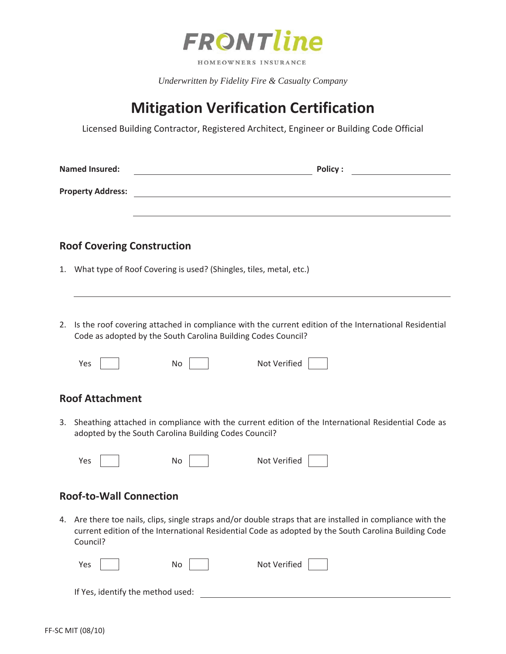

HOMEOWNERS INSURANCE

*Underwritten by Fidelity Fire & Casualty Company* 

# **Mitigation Verification Certification**

Licensed Building Contractor, Registered Architect, Engineer or Building Code Official

| <b>Named Insured:</b>          |                                                                                                | <b>Policy:</b>                                                                                                                                                                                                      |  |  |  |  |
|--------------------------------|------------------------------------------------------------------------------------------------|---------------------------------------------------------------------------------------------------------------------------------------------------------------------------------------------------------------------|--|--|--|--|
|                                | <b>Property Address:</b><br><u> 1989 - Johann Barbara, martxa amerikan personal (h. 1989).</u> |                                                                                                                                                                                                                     |  |  |  |  |
|                                |                                                                                                |                                                                                                                                                                                                                     |  |  |  |  |
|                                |                                                                                                |                                                                                                                                                                                                                     |  |  |  |  |
|                                | <b>Roof Covering Construction</b>                                                              |                                                                                                                                                                                                                     |  |  |  |  |
|                                |                                                                                                | 1. What type of Roof Covering is used? (Shingles, tiles, metal, etc.)                                                                                                                                               |  |  |  |  |
|                                |                                                                                                |                                                                                                                                                                                                                     |  |  |  |  |
|                                |                                                                                                | 2. Is the roof covering attached in compliance with the current edition of the International Residential<br>Code as adopted by the South Carolina Building Codes Council?                                           |  |  |  |  |
|                                | Yes                                                                                            | Not Verified<br>No                                                                                                                                                                                                  |  |  |  |  |
|                                | <b>Roof Attachment</b>                                                                         |                                                                                                                                                                                                                     |  |  |  |  |
| 3.                             |                                                                                                | Sheathing attached in compliance with the current edition of the International Residential Code as<br>adopted by the South Carolina Building Codes Council?                                                         |  |  |  |  |
|                                | Yes                                                                                            | Not Verified<br>No                                                                                                                                                                                                  |  |  |  |  |
| <b>Roof-to-Wall Connection</b> |                                                                                                |                                                                                                                                                                                                                     |  |  |  |  |
|                                | Council?                                                                                       | 4. Are there toe nails, clips, single straps and/or double straps that are installed in compliance with the<br>current edition of the International Residential Code as adopted by the South Carolina Building Code |  |  |  |  |
|                                | Yes                                                                                            | Not Verified<br>No                                                                                                                                                                                                  |  |  |  |  |
|                                | If Yes, identify the method used:                                                              |                                                                                                                                                                                                                     |  |  |  |  |